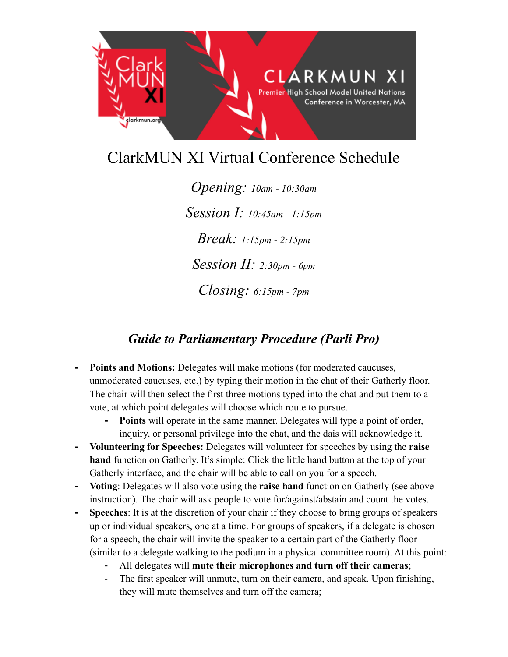

# ClarkMUN XI Virtual Conference Schedule

*Opening: 10am - 10:30am Session I: 10:45am - 1:15pm Break: 1:15pm - 2:15pm Session II: 2:30pm - 6pm Closing: 6:15pm - 7pm*

## *Guide to Parliamentary Procedure (Parli Pro)*

- **- Points and Motions:** Delegates will make motions (for moderated caucuses, unmoderated caucuses, etc.) by typing their motion in the chat of their Gatherly floor. The chair will then select the first three motions typed into the chat and put them to a vote, at which point delegates will choose which route to pursue.
	- **- Points** will operate in the same manner. Delegates will type a point of order, inquiry, or personal privilege into the chat, and the dais will acknowledge it.
- **- Volunteering for Speeches:** Delegates will volunteer for speeches by using the **raise hand** function on Gatherly. It's simple: Click the little hand button at the top of your Gatherly interface, and the chair will be able to call on you for a speech.
- **- Voting**: Delegates will also vote using the **raise hand** function on Gatherly (see above instruction). The chair will ask people to vote for/against/abstain and count the votes.
- **- Speeches**: It is at the discretion of your chair if they choose to bring groups of speakers up or individual speakers, one at a time. For groups of speakers, if a delegate is chosen for a speech, the chair will invite the speaker to a certain part of the Gatherly floor (similar to a delegate walking to the podium in a physical committee room). At this point:
	- All delegates will **mute their microphones and turn off their cameras**;
	- The first speaker will unmute, turn on their camera, and speak. Upon finishing, they will mute themselves and turn off the camera;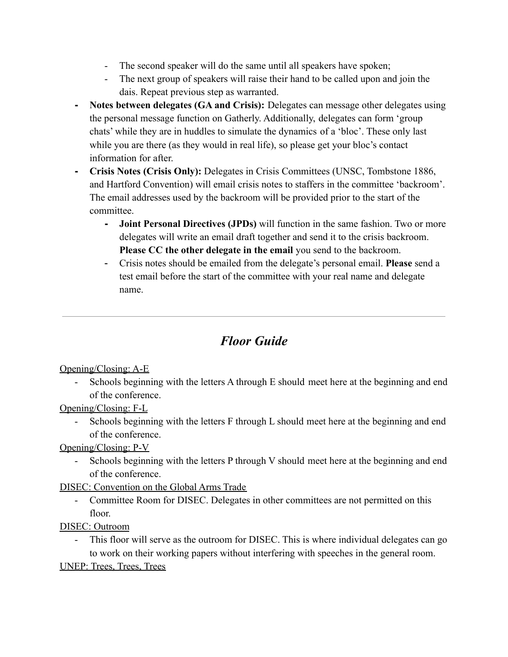- The second speaker will do the same until all speakers have spoken;
- The next group of speakers will raise their hand to be called upon and join the dais. Repeat previous step as warranted.
- **- Notes between delegates (GA and Crisis):** Delegates can message other delegates using the personal message function on Gatherly. Additionally, delegates can form 'group chats' while they are in huddles to simulate the dynamics of a 'bloc'. These only last while you are there (as they would in real life), so please get your bloc's contact information for after.
- **- Crisis Notes (Crisis Only):** Delegates in Crisis Committees (UNSC, Tombstone 1886, and Hartford Convention) will email crisis notes to staffers in the committee 'backroom'. The email addresses used by the backroom will be provided prior to the start of the committee.
	- **- Joint Personal Directives (JPDs)** will function in the same fashion. Two or more delegates will write an email draft together and send it to the crisis backroom. **Please CC the other delegate in the email** you send to the backroom.
	- Crisis notes should be emailed from the delegate's personal email. **Please** send a test email before the start of the committee with your real name and delegate name.

# *Floor Guide*

#### Opening/Closing: A-E

- Schools beginning with the letters A through E should meet here at the beginning and end of the conference.

## Opening/Closing: F-L

- Schools beginning with the letters F through L should meet here at the beginning and end of the conference.

## Opening/Closing: P-V

Schools beginning with the letters P through V should meet here at the beginning and end of the conference.

## DISEC: Convention on the Global Arms Trade

- Committee Room for DISEC. Delegates in other committees are not permitted on this floor.

## DISEC: Outroom

- This floor will serve as the outroom for DISEC. This is where individual delegates can go to work on their working papers without interfering with speeches in the general room.

## UNEP: Trees, Trees, Trees